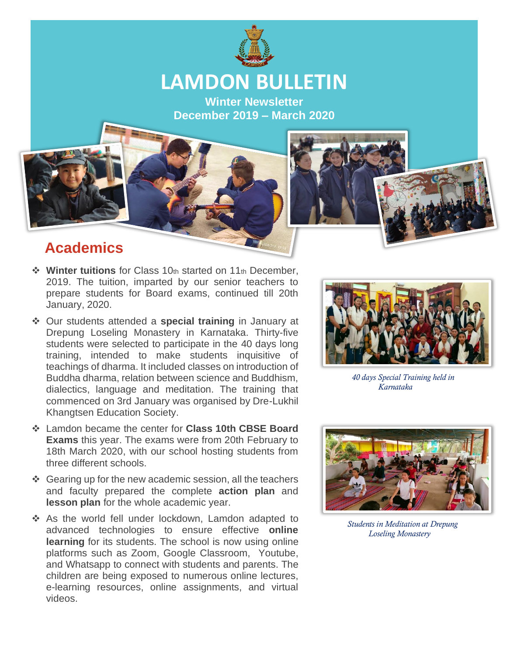

# **LAMDON BULLETIN**

**Winter Newsletter December 2019 – March 2020**

#### **Academics**

- ❖ **Winter tuitions** for Class 10th started on 11th December, 2019. The tuition, imparted by our senior teachers to prepare students for Board exams, continued till 20th January, 2020.
- ❖ Our students attended a **special training** in January at Drepung Loseling Monastery in Karnataka. Thirty-five students were selected to participate in the 40 days long training, intended to make students inquisitive of teachings of dharma. It included classes on introduction of Buddha dharma, relation between science and Buddhism, dialectics, language and meditation. The training that commenced on 3rd January was organised by Dre-Lukhil Khangtsen Education Society.
- ❖ Lamdon became the center for **Class 10th CBSE Board Exams** this year. The exams were from 20th February to 18th March 2020, with our school hosting students from three different schools.
- ❖ Gearing up for the new academic session, all the teachers and faculty prepared the complete **action plan** and **lesson plan** for the whole academic year.
- ❖ As the world fell under lockdown, Lamdon adapted to advanced technologies to ensure effective **online learning** for its students. The school is now using online platforms such as Zoom, Google Classroom, Youtube, and Whatsapp to connect with students and parents. The children are being exposed to numerous online lectures, e-learning resources, online assignments, and virtual videos.



 *40 days Special Training held in Karnataka*



 *Students in Meditation at Drepung Loseling Monastery*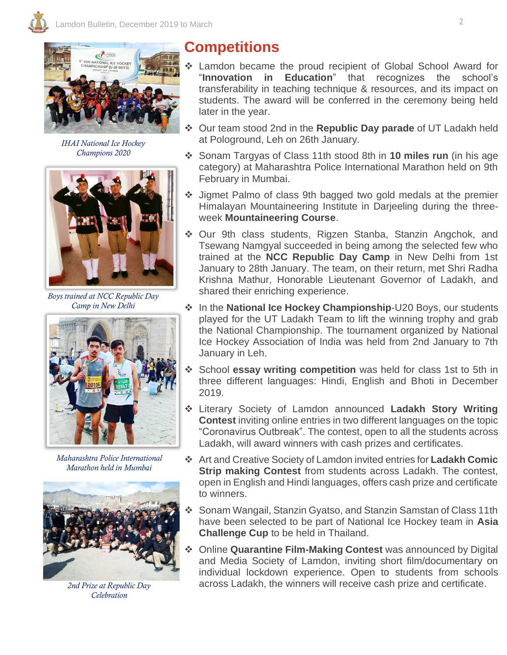

*IHAI National Ice Hockey Champions 2020*



*Boys trained at NCC Republic Day Camp in New Delhi*



*Maharashtra Police International Marathon held in Mumbai*



*2nd Prize at Republic Day Celebration* 

### **Competitions**

- Lamdon became the proud recipient of Global School Award for "**Innovation in Education**" that recognizes the school's transferability in teaching technique & resources, and its impact on students. The award will be conferred in the ceremony being held later in the year.
- ❖ Our team stood 2nd in the **Republic Day parade** of UT Ladakh held at Pologround, Leh on 26th January.
- ❖ Sonam Targyas of Class 11th stood 8th in **10 miles run** (in his age category) at Maharashtra Police International Marathon held on 9th February in Mumbai.
- ❖ Jigmet Palmo of class 9th bagged two gold medals at the premier Himalayan Mountaineering Institute in Darjeeling during the threeweek **Mountaineering Course**.
- ❖ Our 9th class students, Rigzen Stanba, Stanzin Angchok, and Tsewang Namgyal succeeded in being among the selected few who trained at the **NCC Republic Day Camp** in New Delhi from 1st January to 28th January. The team, on their return, met Shri Radha Krishna Mathur, Honorable Lieutenant Governor of Ladakh, and shared their enriching experience.
- ❖ In the **National Ice Hockey Championship**-U20 Boys, our students played for the UT Ladakh Team to lift the winning trophy and grab the National Championship. The tournament organized by National Ice Hockey Association of India was held from 2nd January to 7th January in Leh.
- ❖ School **essay writing competition** was held for class 1st to 5th in three different languages: Hindi, English and Bhoti in December 2019.
- ❖ Literary Society of Lamdon announced **Ladakh Story Writing Contest** inviting online entries in two different languages on the topic "Coronavirus Outbreak". The contest, open to all the students across Ladakh, will award winners with cash prizes and certificates.
- ❖ Art and Creative Society of Lamdon invited entries for **Ladakh Comic Strip making Contest** from students across Ladakh. The contest, open in English and Hindi languages, offers cash prize and certificate to winners.
- ❖ Sonam Wangail, Stanzin Gyatso, and Stanzin Samstan of Class 11th have been selected to be part of National Ice Hockey team in **Asia Challenge Cup** to be held in Thailand.
- ❖ Online **Quarantine Film-Making Contest** was announced by Digital and Media Society of Lamdon, inviting short film/documentary on individual lockdown experience. Open to students from schools across Ladakh, the winners will receive cash prize and certificate.